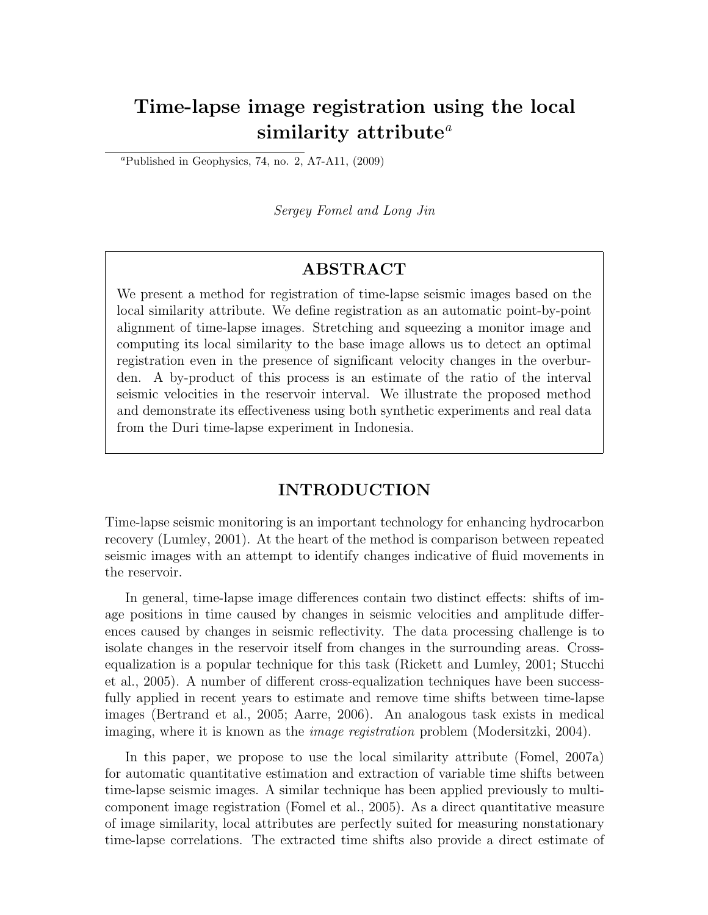# Time-lapse image registration using the local similarity attribute<sup> $a$ </sup>

<sup>*a*</sup>Published in Geophysics, 74, no. 2, A7-A11,  $(2009)$ 

Sergey Fomel and Long Jin

## ABSTRACT

We present a method for registration of time-lapse seismic images based on the local similarity attribute. We define registration as an automatic point-by-point alignment of time-lapse images. Stretching and squeezing a monitor image and computing its local similarity to the base image allows us to detect an optimal registration even in the presence of significant velocity changes in the overburden. A by-product of this process is an estimate of the ratio of the interval seismic velocities in the reservoir interval. We illustrate the proposed method and demonstrate its effectiveness using both synthetic experiments and real data from the Duri time-lapse experiment in Indonesia.

#### INTRODUCTION

Time-lapse seismic monitoring is an important technology for enhancing hydrocarbon recovery (Lumley, 2001). At the heart of the method is comparison between repeated seismic images with an attempt to identify changes indicative of fluid movements in the reservoir.

In general, time-lapse image differences contain two distinct effects: shifts of image positions in time caused by changes in seismic velocities and amplitude differences caused by changes in seismic reflectivity. The data processing challenge is to isolate changes in the reservoir itself from changes in the surrounding areas. Crossequalization is a popular technique for this task (Rickett and Lumley, 2001; Stucchi et al., 2005). A number of different cross-equalization techniques have been successfully applied in recent years to estimate and remove time shifts between time-lapse images (Bertrand et al., 2005; Aarre, 2006). An analogous task exists in medical imaging, where it is known as the *image registration* problem (Modersitzki, 2004).

In this paper, we propose to use the local similarity attribute (Fomel, 2007a) for automatic quantitative estimation and extraction of variable time shifts between time-lapse seismic images. A similar technique has been applied previously to multicomponent image registration (Fomel et al., 2005). As a direct quantitative measure of image similarity, local attributes are perfectly suited for measuring nonstationary time-lapse correlations. The extracted time shifts also provide a direct estimate of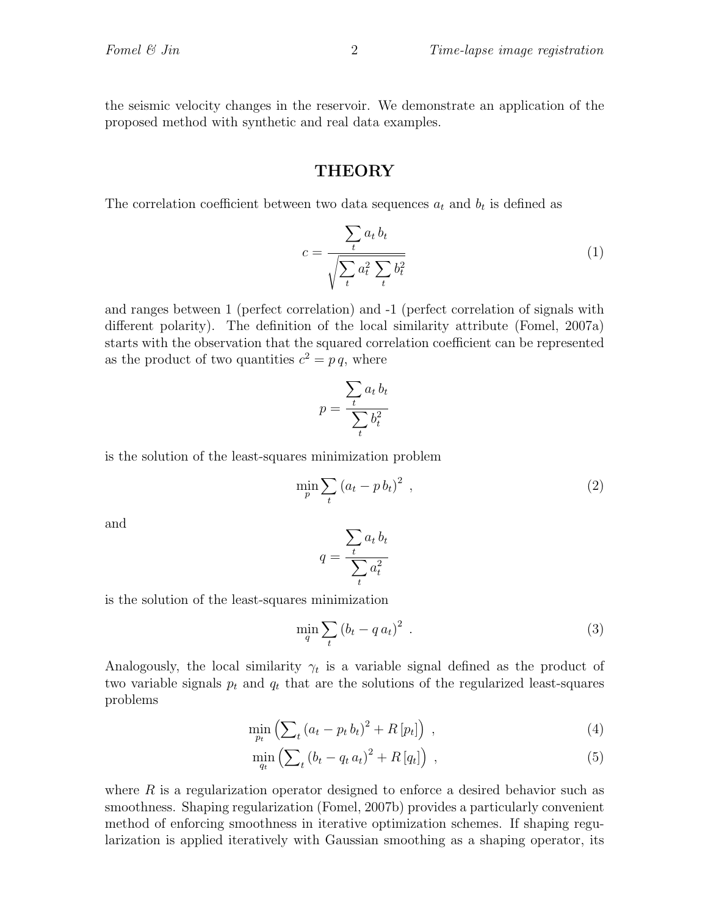the seismic velocity changes in the reservoir. We demonstrate an application of the proposed method with synthetic and real data examples.

#### **THEORY**

The correlation coefficient between two data sequences  $a_t$  and  $b_t$  is defined as

$$
c = \frac{\sum_{t} a_t b_t}{\sqrt{\sum_{t} a_t^2 \sum_{t} b_t^2}}
$$
(1)

and ranges between 1 (perfect correlation) and -1 (perfect correlation of signals with different polarity). The definition of the local similarity attribute (Fomel, 2007a) starts with the observation that the squared correlation coefficient can be represented as the product of two quantities  $c^2 = p q$ , where

$$
p = \frac{\sum_{t} a_t b_t}{\sum_{t} b_t^2}
$$

is the solution of the least-squares minimization problem

$$
\min_{p} \sum_{t} \left( a_t - p b_t \right)^2 \tag{2}
$$

and

$$
q = \frac{\sum_{t} a_t b_t}{\sum_{t} a_t^2}
$$

is the solution of the least-squares minimization

$$
\min_{q} \sum_{t} \left( b_t - q a_t \right)^2 \tag{3}
$$

Analogously, the local similarity  $\gamma_t$  is a variable signal defined as the product of two variable signals  $p_t$  and  $q_t$  that are the solutions of the regularized least-squares problems

$$
\min_{p_t} \left( \sum_t \left( a_t - p_t b_t \right)^2 + R \left[ p_t \right] \right) , \tag{4}
$$

$$
\min_{q_t} \left( \sum_t \left( b_t - q_t a_t \right)^2 + R\left[ q_t \right] \right) \,, \tag{5}
$$

where  $R$  is a regularization operator designed to enforce a desired behavior such as smoothness. Shaping regularization (Fomel, 2007b) provides a particularly convenient method of enforcing smoothness in iterative optimization schemes. If shaping regularization is applied iteratively with Gaussian smoothing as a shaping operator, its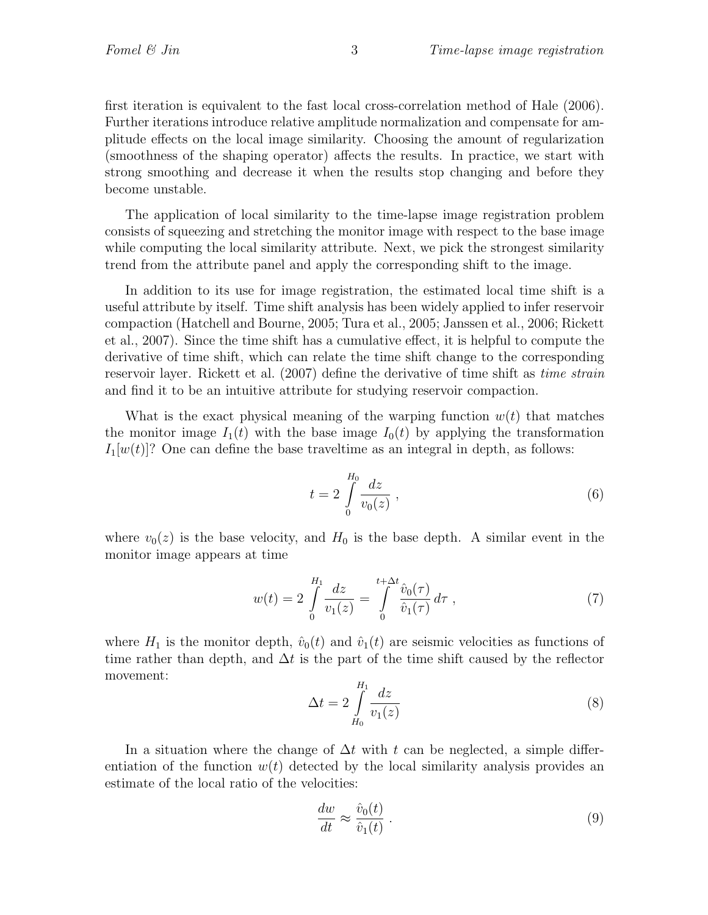first iteration is equivalent to the fast local cross-correlation method of Hale (2006). Further iterations introduce relative amplitude normalization and compensate for amplitude effects on the local image similarity. Choosing the amount of regularization (smoothness of the shaping operator) affects the results. In practice, we start with strong smoothing and decrease it when the results stop changing and before they become unstable.

The application of local similarity to the time-lapse image registration problem consists of squeezing and stretching the monitor image with respect to the base image while computing the local similarity attribute. Next, we pick the strongest similarity trend from the attribute panel and apply the corresponding shift to the image.

In addition to its use for image registration, the estimated local time shift is a useful attribute by itself. Time shift analysis has been widely applied to infer reservoir compaction (Hatchell and Bourne, 2005; Tura et al., 2005; Janssen et al., 2006; Rickett et al., 2007). Since the time shift has a cumulative effect, it is helpful to compute the derivative of time shift, which can relate the time shift change to the corresponding reservoir layer. Rickett et al. (2007) define the derivative of time shift as *time strain* and find it to be an intuitive attribute for studying reservoir compaction.

What is the exact physical meaning of the warping function  $w(t)$  that matches the monitor image  $I_1(t)$  with the base image  $I_0(t)$  by applying the transformation  $I_1[w(t)]$ ? One can define the base traveltime as an integral in depth, as follows:

$$
t = 2 \int_{0}^{H_0} \frac{dz}{v_0(z)} , \qquad (6)
$$

where  $v_0(z)$  is the base velocity, and  $H_0$  is the base depth. A similar event in the monitor image appears at time

$$
w(t) = 2 \int_{0}^{H_1} \frac{dz}{v_1(z)} = \int_{0}^{t + \Delta t} \frac{\hat{v}_0(\tau)}{\hat{v}_1(\tau)} d\tau , \qquad (7)
$$

where  $H_1$  is the monitor depth,  $\hat{v}_0(t)$  and  $\hat{v}_1(t)$  are seismic velocities as functions of time rather than depth, and  $\Delta t$  is the part of the time shift caused by the reflector movement:

$$
\Delta t = 2 \int_{H_0}^{H_1} \frac{dz}{v_1(z)}
$$
\n(8)

In a situation where the change of  $\Delta t$  with t can be neglected, a simple differentiation of the function  $w(t)$  detected by the local similarity analysis provides an estimate of the local ratio of the velocities:

$$
\frac{dw}{dt} \approx \frac{\hat{v}_0(t)}{\hat{v}_1(t)}\,. \tag{9}
$$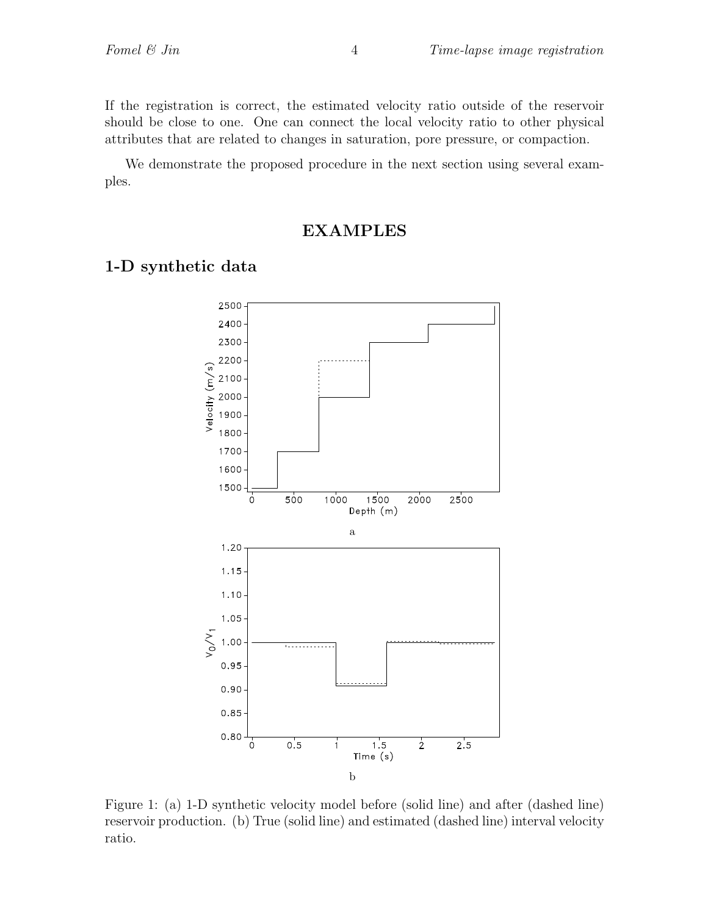If the registration is correct, the estimated velocity ratio outside of the reservoir should be close to one. One can connect the local velocity ratio to other physical attributes that are related to changes in saturation, pore pressure, or compaction.

We demonstrate the proposed procedure in the next section using several examples.

#### EXAMPLES

#### 1-D synthetic data



Figure 1: (a) 1-D synthetic velocity model before (solid line) and after (dashed line) reservoir production. (b) True (solid line) and estimated (dashed line) interval velocity ratio.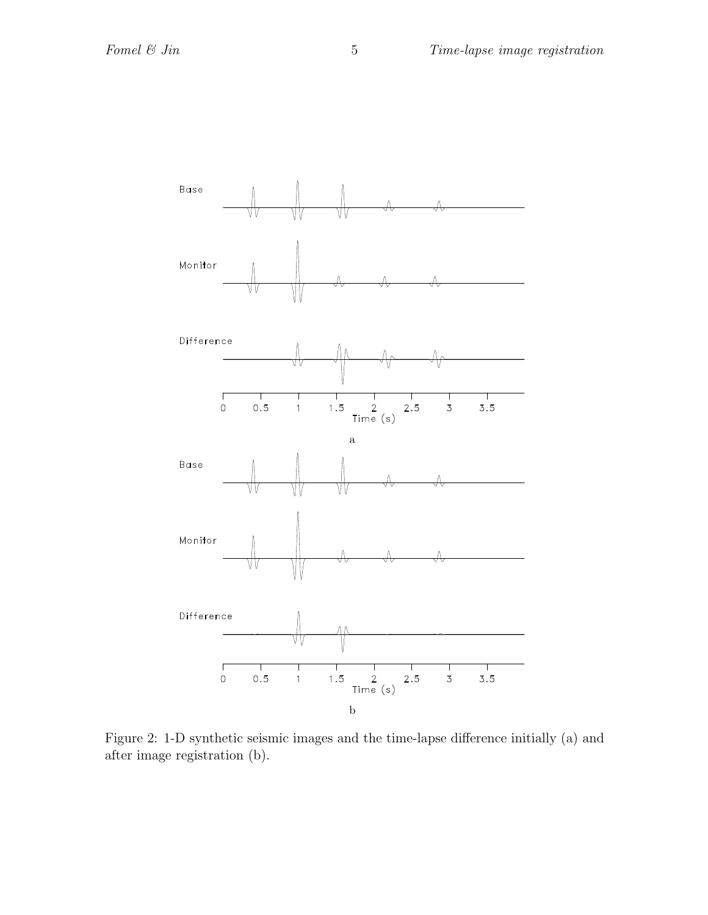

Figure 2: 1-D synthetic seismic images and the time-lapse difference initially (a) and after image registration (b).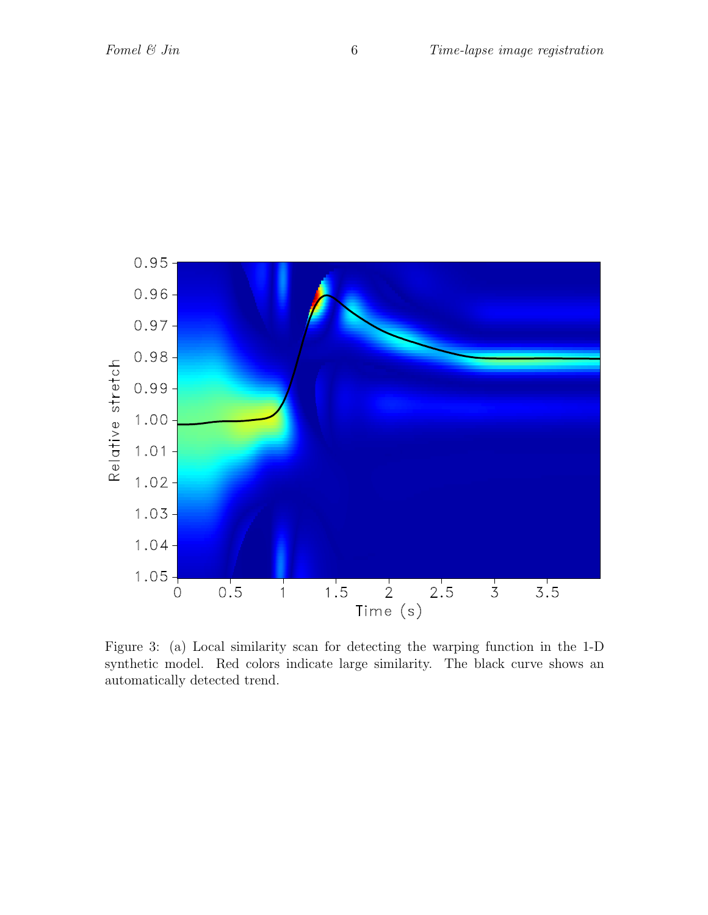

Figure 3: (a) Local similarity scan for detecting the warping function in the 1-D synthetic model. Red colors indicate large similarity. The black curve shows an automatically detected trend.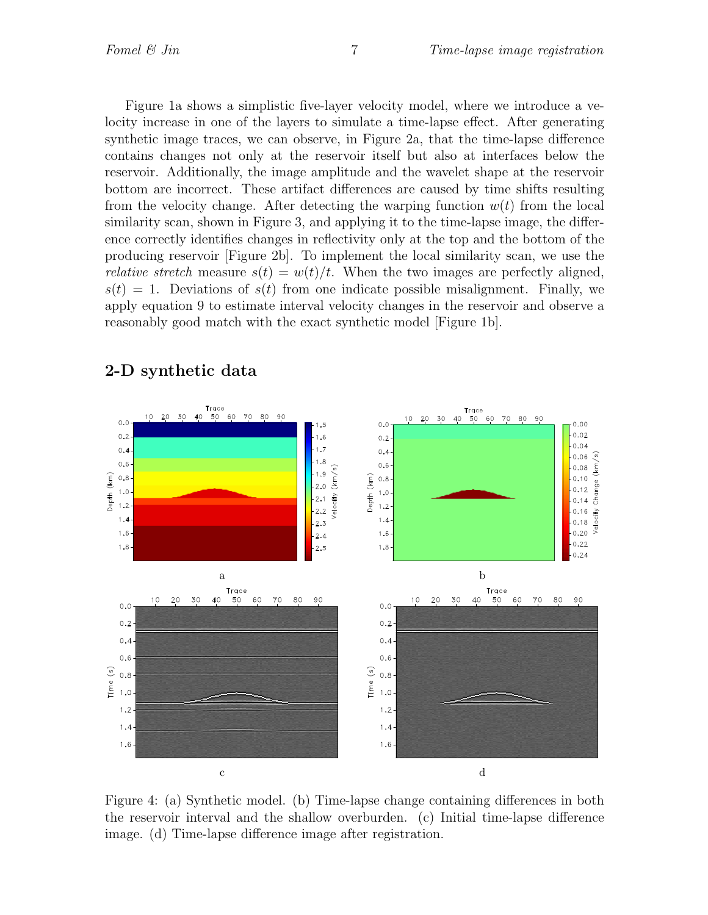Figure 1a shows a simplistic five-layer velocity model, where we introduce a velocity increase in one of the layers to simulate a time-lapse effect. After generating synthetic image traces, we can observe, in Figure 2a, that the time-lapse difference contains changes not only at the reservoir itself but also at interfaces below the reservoir. Additionally, the image amplitude and the wavelet shape at the reservoir bottom are incorrect. These artifact differences are caused by time shifts resulting from the velocity change. After detecting the warping function  $w(t)$  from the local similarity scan, shown in Figure 3, and applying it to the time-lapse image, the difference correctly identifies changes in reflectivity only at the top and the bottom of the producing reservoir [Figure 2b]. To implement the local similarity scan, we use the *relative stretch* measure  $s(t) = w(t)/t$ . When the two images are perfectly aligned,  $s(t) = 1$ . Deviations of  $s(t)$  from one indicate possible misalignment. Finally, we apply equation 9 to estimate interval velocity changes in the reservoir and observe a reasonably good match with the exact synthetic model [Figure 1b].



## 2-D synthetic data

Figure 4: (a) Synthetic model. (b) Time-lapse change containing differences in both the reservoir interval and the shallow overburden. (c) Initial time-lapse difference image. (d) Time-lapse difference image after registration.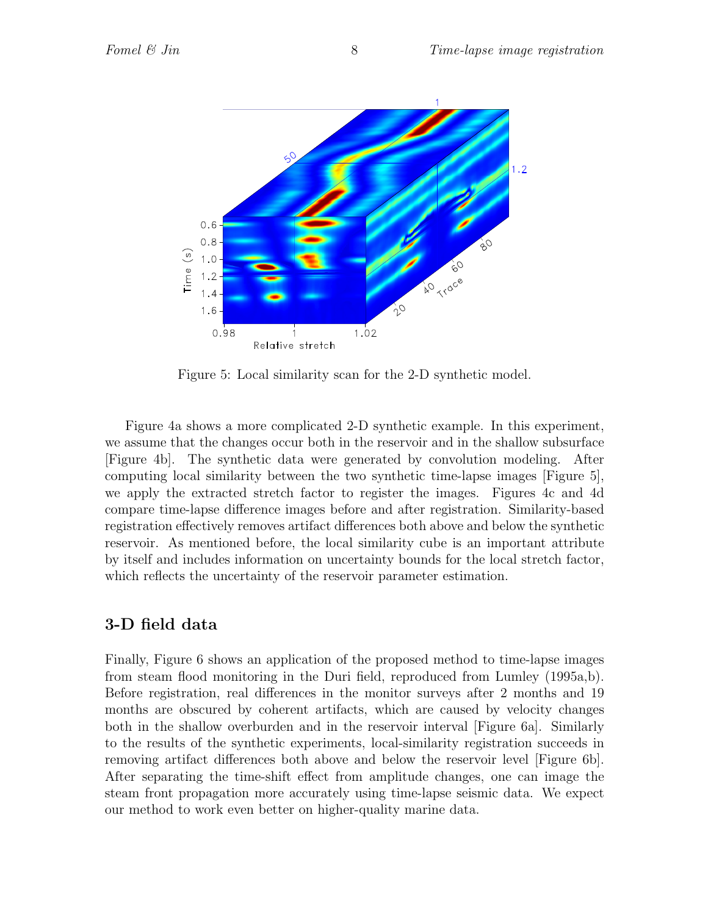

Figure 5: Local similarity scan for the 2-D synthetic model.

Figure 4a shows a more complicated 2-D synthetic example. In this experiment, we assume that the changes occur both in the reservoir and in the shallow subsurface [Figure 4b]. The synthetic data were generated by convolution modeling. After computing local similarity between the two synthetic time-lapse images [Figure 5], we apply the extracted stretch factor to register the images. Figures 4c and 4d compare time-lapse difference images before and after registration. Similarity-based registration effectively removes artifact differences both above and below the synthetic reservoir. As mentioned before, the local similarity cube is an important attribute by itself and includes information on uncertainty bounds for the local stretch factor, which reflects the uncertainty of the reservoir parameter estimation.

## 3-D field data

Finally, Figure 6 shows an application of the proposed method to time-lapse images from steam flood monitoring in the Duri field, reproduced from Lumley (1995a,b). Before registration, real differences in the monitor surveys after 2 months and 19 months are obscured by coherent artifacts, which are caused by velocity changes both in the shallow overburden and in the reservoir interval [Figure 6a]. Similarly to the results of the synthetic experiments, local-similarity registration succeeds in removing artifact differences both above and below the reservoir level [Figure 6b]. After separating the time-shift effect from amplitude changes, one can image the steam front propagation more accurately using time-lapse seismic data. We expect our method to work even better on higher-quality marine data.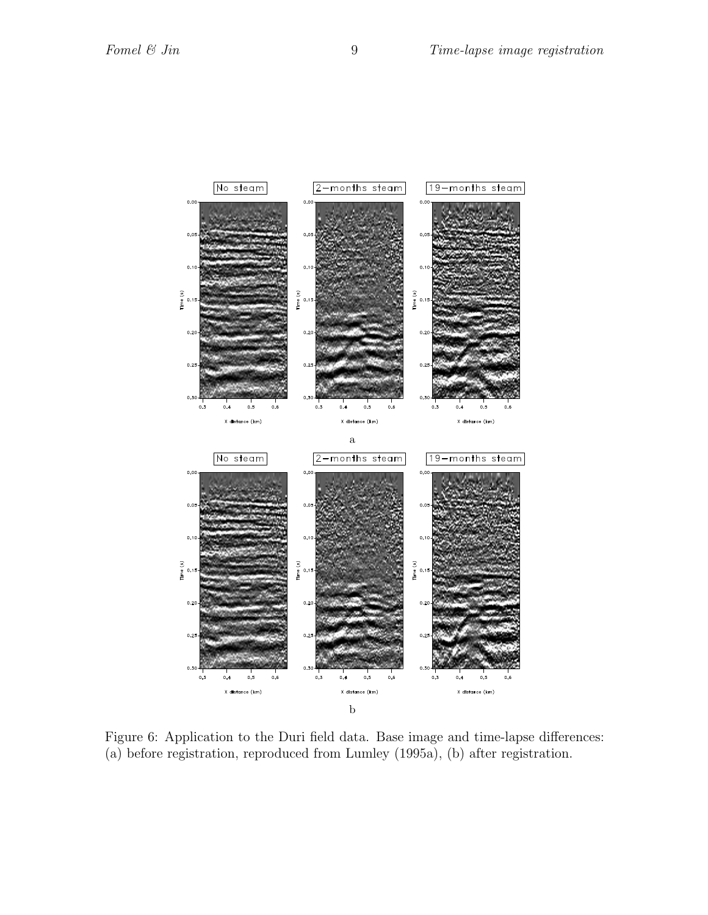

Figure 6: Application to the Duri field data. Base image and time-lapse differences: (a) before registration, reproduced from Lumley (1995a), (b) after registration.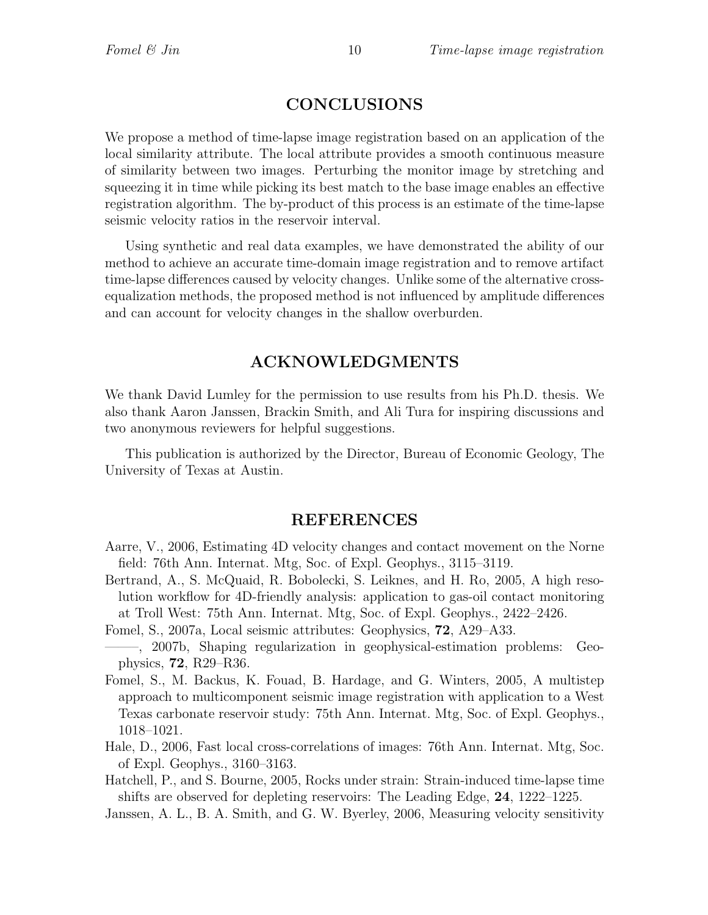## CONCLUSIONS

We propose a method of time-lapse image registration based on an application of the local similarity attribute. The local attribute provides a smooth continuous measure of similarity between two images. Perturbing the monitor image by stretching and squeezing it in time while picking its best match to the base image enables an effective registration algorithm. The by-product of this process is an estimate of the time-lapse seismic velocity ratios in the reservoir interval.

Using synthetic and real data examples, we have demonstrated the ability of our method to achieve an accurate time-domain image registration and to remove artifact time-lapse differences caused by velocity changes. Unlike some of the alternative crossequalization methods, the proposed method is not influenced by amplitude differences and can account for velocity changes in the shallow overburden.

## ACKNOWLEDGMENTS

We thank David Lumley for the permission to use results from his Ph.D. thesis. We also thank Aaron Janssen, Brackin Smith, and Ali Tura for inspiring discussions and two anonymous reviewers for helpful suggestions.

This publication is authorized by the Director, Bureau of Economic Geology, The University of Texas at Austin.

#### REFERENCES

- Aarre, V., 2006, Estimating 4D velocity changes and contact movement on the Norne field: 76th Ann. Internat. Mtg, Soc. of Expl. Geophys., 3115–3119.
- Bertrand, A., S. McQuaid, R. Bobolecki, S. Leiknes, and H. Ro, 2005, A high resolution workflow for 4D-friendly analysis: application to gas-oil contact monitoring at Troll West: 75th Ann. Internat. Mtg, Soc. of Expl. Geophys., 2422–2426.
- Fomel, S., 2007a, Local seismic attributes: Geophysics, 72, A29–A33.
- ——–, 2007b, Shaping regularization in geophysical-estimation problems: Geophysics, 72, R29–R36.
- Fomel, S., M. Backus, K. Fouad, B. Hardage, and G. Winters, 2005, A multistep approach to multicomponent seismic image registration with application to a West Texas carbonate reservoir study: 75th Ann. Internat. Mtg, Soc. of Expl. Geophys., 1018–1021.
- Hale, D., 2006, Fast local cross-correlations of images: 76th Ann. Internat. Mtg, Soc. of Expl. Geophys., 3160–3163.
- Hatchell, P., and S. Bourne, 2005, Rocks under strain: Strain-induced time-lapse time shifts are observed for depleting reservoirs: The Leading Edge, 24, 1222–1225.
- Janssen, A. L., B. A. Smith, and G. W. Byerley, 2006, Measuring velocity sensitivity